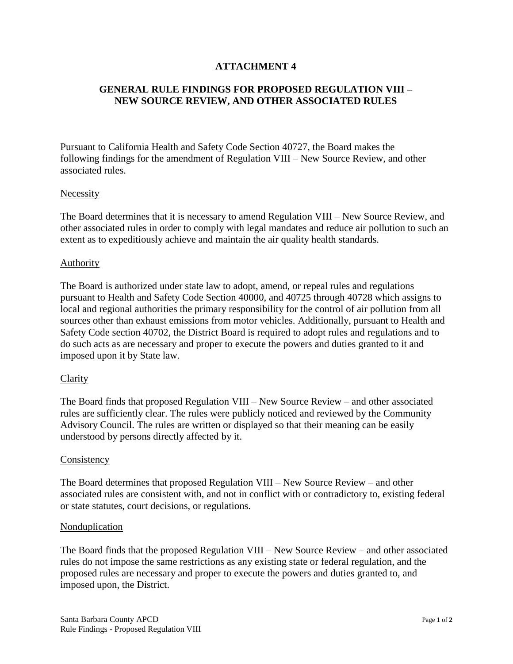# **ATTACHMENT 4**

# **GENERAL RULE FINDINGS FOR PROPOSED REGULATION VIII – NEW SOURCE REVIEW, AND OTHER ASSOCIATED RULES**

Pursuant to California Health and Safety Code Section 40727, the Board makes the following findings for the amendment of Regulation VIII – New Source Review, and other associated rules.

#### **Necessity**

The Board determines that it is necessary to amend Regulation VIII – New Source Review, and other associated rules in order to comply with legal mandates and reduce air pollution to such an extent as to expeditiously achieve and maintain the air quality health standards.

### Authority

The Board is authorized under state law to adopt, amend, or repeal rules and regulations pursuant to Health and Safety Code Section 40000, and 40725 through 40728 which assigns to local and regional authorities the primary responsibility for the control of air pollution from all sources other than exhaust emissions from motor vehicles. Additionally, pursuant to Health and Safety Code section 40702, the District Board is required to adopt rules and regulations and to do such acts as are necessary and proper to execute the powers and duties granted to it and imposed upon it by State law.

#### **Clarity**

The Board finds that proposed Regulation VIII – New Source Review – and other associated rules are sufficiently clear. The rules were publicly noticed and reviewed by the Community Advisory Council. The rules are written or displayed so that their meaning can be easily understood by persons directly affected by it.

#### **Consistency**

The Board determines that proposed Regulation VIII – New Source Review – and other associated rules are consistent with, and not in conflict with or contradictory to, existing federal or state statutes, court decisions, or regulations.

#### Nonduplication

The Board finds that the proposed Regulation VIII – New Source Review – and other associated rules do not impose the same restrictions as any existing state or federal regulation, and the proposed rules are necessary and proper to execute the powers and duties granted to, and imposed upon, the District.